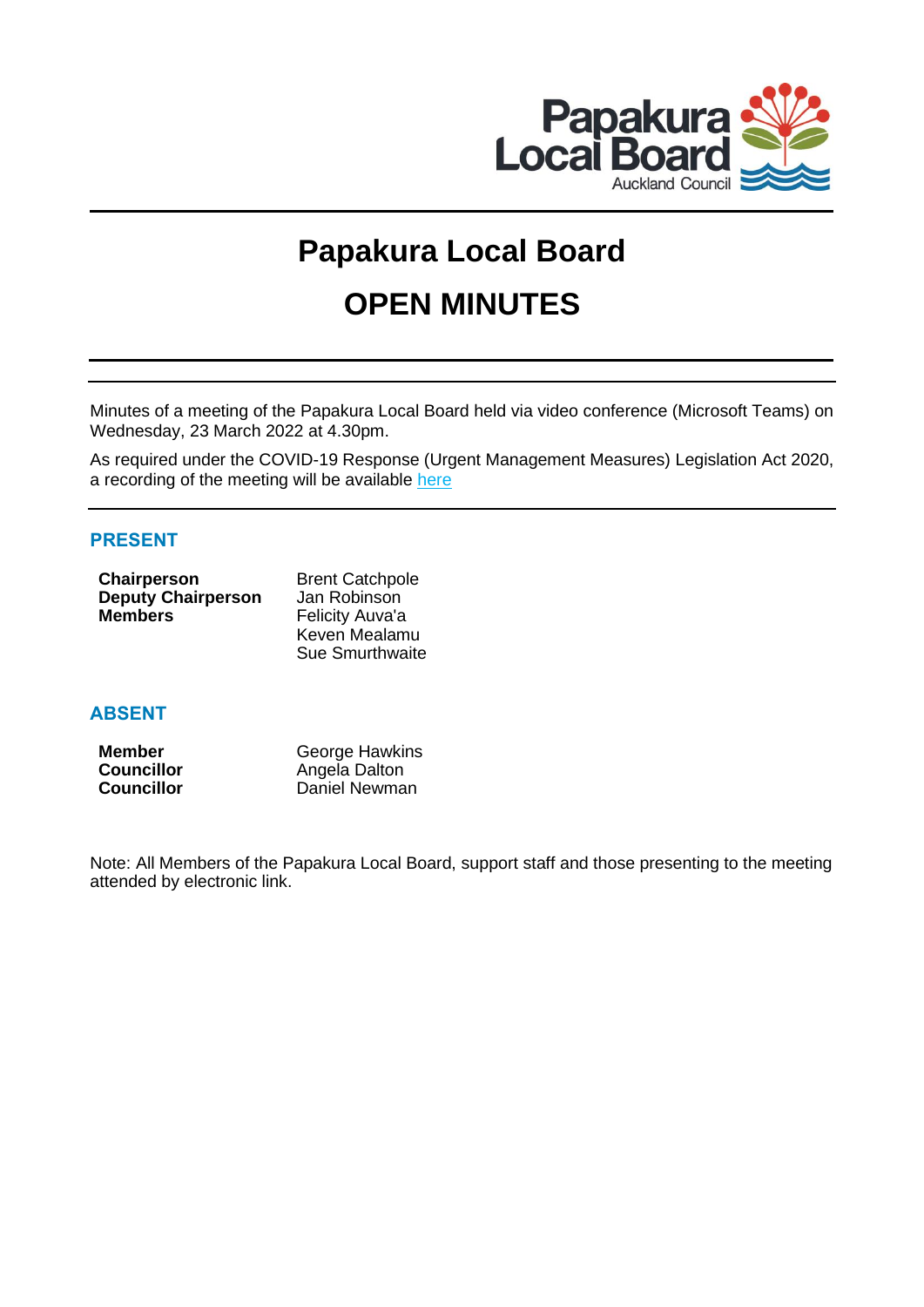

# **Papakura Local Board OPEN MINUTES**

Minutes of a meeting of the Papakura Local Board held via video conference (Microsoft Teams) on Wednesday, 23 March 2022 at 4.30pm.

As required under the COVID-19 Response (Urgent Management Measures) Legislation Act 2020, a recording of the meeting will be available [here](https://www.aucklandcouncil.govt.nz/about-auckland-council/how-auckland-council-works/meetings-council-bodies/Pages/webcasts-council-meetings.aspx)

# **PRESENT**

| <b>Chairperson</b>        | <b>Brent Catchpole</b> |
|---------------------------|------------------------|
| <b>Deputy Chairperson</b> | Jan Robinson           |
| <b>Members</b>            | Felicity Auva'a        |
|                           | Keven Mealamu          |
|                           | <b>Sue Smurthwaite</b> |

# **ABSENT**

| <b>Member</b>     | George Hawkins |
|-------------------|----------------|
| <b>Councillor</b> | Angela Dalton  |
| <b>Councillor</b> | Daniel Newman  |

Note: All Members of the Papakura Local Board, support staff and those presenting to the meeting attended by electronic link.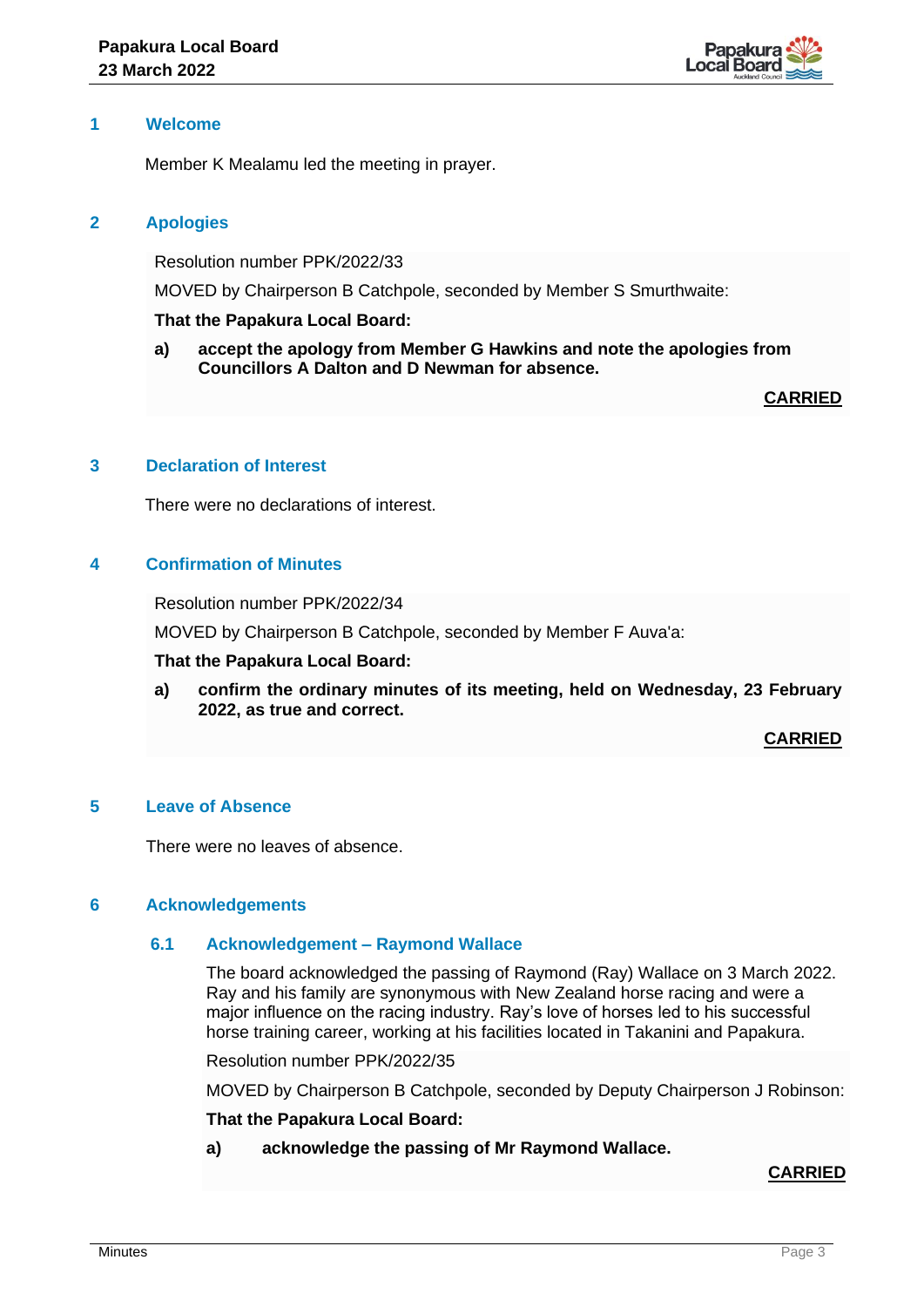

## **1 Welcome**

Member K Mealamu led the meeting in prayer.

## **2 Apologies**

Resolution number PPK/2022/33

MOVED by Chairperson B Catchpole, seconded by Member S Smurthwaite:

#### **That the Papakura Local Board:**

**a) accept the apology from Member G Hawkins and note the apologies from Councillors A Dalton and D Newman for absence.**

**CARRIED**

## **3 Declaration of Interest**

There were no declarations of interest.

## **4 Confirmation of Minutes**

Resolution number PPK/2022/34

MOVED by Chairperson B Catchpole, seconded by Member F Auva'a:

#### **That the Papakura Local Board:**

**a) confirm the ordinary minutes of its meeting, held on Wednesday, 23 February 2022, as true and correct.**

**CARRIED**

## **5 Leave of Absence**

There were no leaves of absence.

#### **6 Acknowledgements**

#### **6.1 Acknowledgement – Raymond Wallace**

The board acknowledged the passing of Raymond (Ray) Wallace on 3 March 2022. Ray and his family are synonymous with New Zealand horse racing and were a major influence on the racing industry. Ray's love of horses led to his successful horse training career, working at his facilities located in Takanini and Papakura.

Resolution number PPK/2022/35

MOVED by Chairperson B Catchpole, seconded by Deputy Chairperson J Robinson:

#### **That the Papakura Local Board:**

**a) acknowledge the passing of Mr Raymond Wallace.**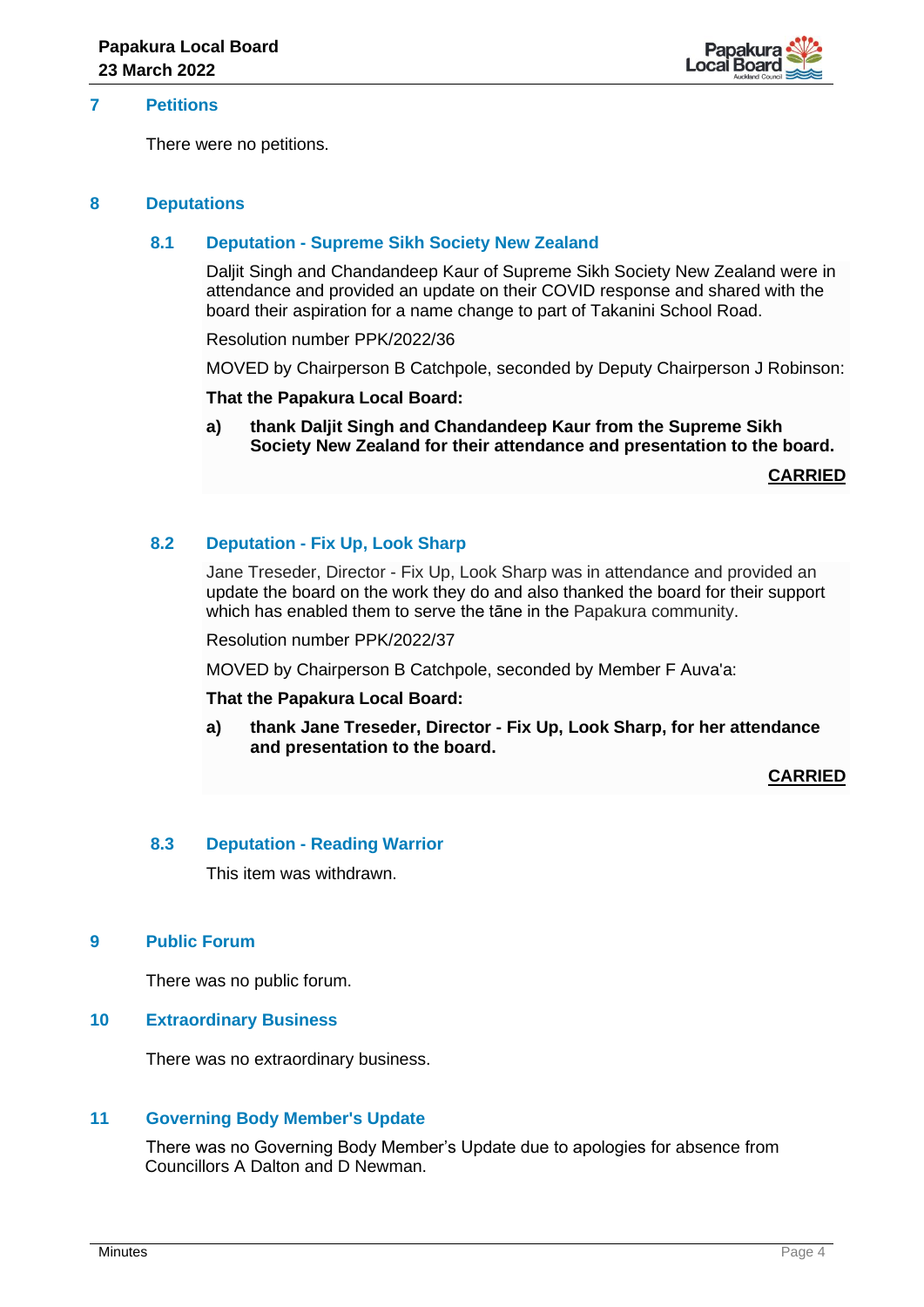

## **7 Petitions**

There were no petitions.

#### **8 Deputations**

#### **8.1 Deputation - Supreme Sikh Society New Zealand**

Daljit Singh and Chandandeep Kaur of Supreme Sikh Society New Zealand were in attendance and provided an update on their COVID response and shared with the board their aspiration for a name change to part of Takanini School Road.

Resolution number PPK/2022/36

MOVED by Chairperson B Catchpole, seconded by Deputy Chairperson J Robinson:

#### **That the Papakura Local Board:**

**a) thank Daljit Singh and Chandandeep Kaur from the Supreme Sikh Society New Zealand for their attendance and presentation to the board.**

**CARRIED**

#### **8.2 Deputation - Fix Up, Look Sharp**

Jane Treseder, Director - Fix Up, Look Sharp was in attendance and provided an update the board on the work they do and also thanked the board for their support which has enabled them to serve the tāne in the Papakura community.

Resolution number PPK/2022/37

MOVED by Chairperson B Catchpole, seconded by Member F Auva'a:

#### **That the Papakura Local Board:**

**a) thank Jane Treseder, Director - Fix Up, Look Sharp, for her attendance and presentation to the board.**

#### **CARRIED**

## **8.3 Deputation - Reading Warrior**

This item was withdrawn.

#### **9 Public Forum**

There was no public forum.

#### **10 Extraordinary Business**

There was no extraordinary business.

#### **11 Governing Body Member's Update**

There was no Governing Body Member's Update due to apologies for absence from Councillors A Dalton and D Newman.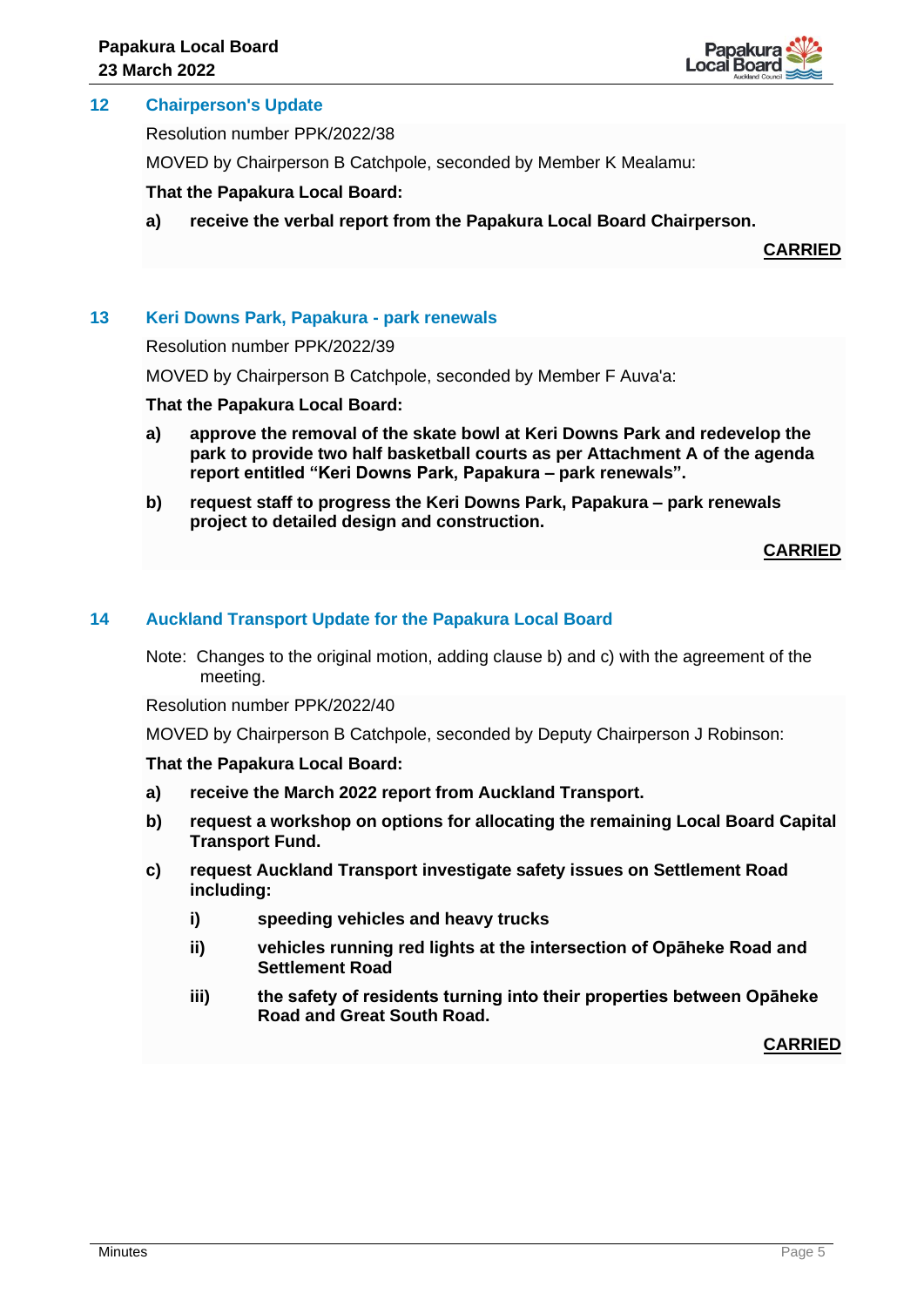

## **12 Chairperson's Update**

Resolution number PPK/2022/38

MOVED by Chairperson B Catchpole, seconded by Member K Mealamu:

**That the Papakura Local Board:**

**a) receive the verbal report from the Papakura Local Board Chairperson.**

**CARRIED**

## **13 Keri Downs Park, Papakura - park renewals**

Resolution number PPK/2022/39

MOVED by Chairperson B Catchpole, seconded by Member F Auva'a:

**That the Papakura Local Board:**

- **a) approve the removal of the skate bowl at Keri Downs Park and redevelop the park to provide two half basketball courts as per Attachment A of the agenda report entitled "Keri Downs Park, Papakura – park renewals".**
- **b) request staff to progress the Keri Downs Park, Papakura – park renewals project to detailed design and construction.**

**CARRIED**

## **14 Auckland Transport Update for the Papakura Local Board**

Note: Changes to the original motion, adding clause b) and c) with the agreement of the meeting.

Resolution number PPK/2022/40

MOVED by Chairperson B Catchpole, seconded by Deputy Chairperson J Robinson:

**That the Papakura Local Board:**

- **a) receive the March 2022 report from Auckland Transport.**
- **b) request a workshop on options for allocating the remaining Local Board Capital Transport Fund.**
- **c) request Auckland Transport investigate safety issues on Settlement Road including:**
	- **i) speeding vehicles and heavy trucks**
	- **ii) vehicles running red lights at the intersection of Opāheke Road and Settlement Road**
	- **iii) the safety of residents turning into their properties between Opāheke Road and Great South Road.**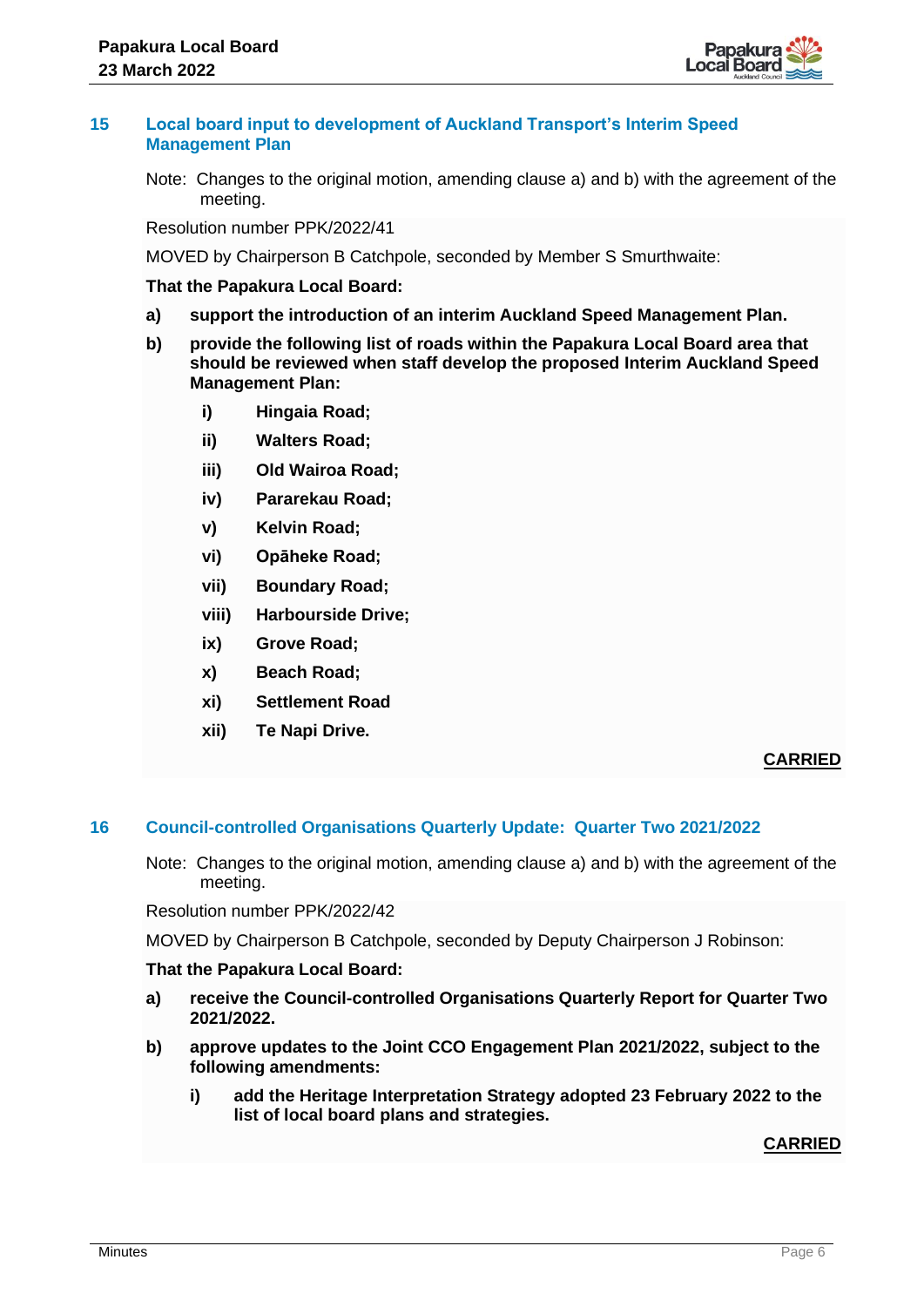

## **15 Local board input to development of Auckland Transport's Interim Speed Management Plan**

Note: Changes to the original motion, amending clause a) and b) with the agreement of the meeting.

Resolution number PPK/2022/41

MOVED by Chairperson B Catchpole, seconded by Member S Smurthwaite:

#### **That the Papakura Local Board:**

- **a) support the introduction of an interim Auckland Speed Management Plan.**
- **b) provide the following list of roads within the Papakura Local Board area that should be reviewed when staff develop the proposed Interim Auckland Speed Management Plan:**
	- **i) Hingaia Road;**
	- **ii) Walters Road;**
	- **iii) Old Wairoa Road;**
	- **iv) Pararekau Road;**
	- **v) Kelvin Road;**
	- **vi) Opāheke Road;**
	- **vii) Boundary Road;**
	- **viii) Harbourside Drive;**
	- **ix) Grove Road;**
	- **x) Beach Road;**
	- **xi) Settlement Road**
	- **xii) Te Napi Drive.**

#### **CARRIED**

## **16 Council-controlled Organisations Quarterly Update: Quarter Two 2021/2022**

Note: Changes to the original motion, amending clause a) and b) with the agreement of the meeting.

Resolution number PPK/2022/42

MOVED by Chairperson B Catchpole, seconded by Deputy Chairperson J Robinson:

#### **That the Papakura Local Board:**

- **a) receive the Council-controlled Organisations Quarterly Report for Quarter Two 2021/2022.**
- **b) approve updates to the Joint CCO Engagement Plan 2021/2022, subject to the following amendments:**
	- **i) add the Heritage Interpretation Strategy adopted 23 February 2022 to the list of local board plans and strategies.**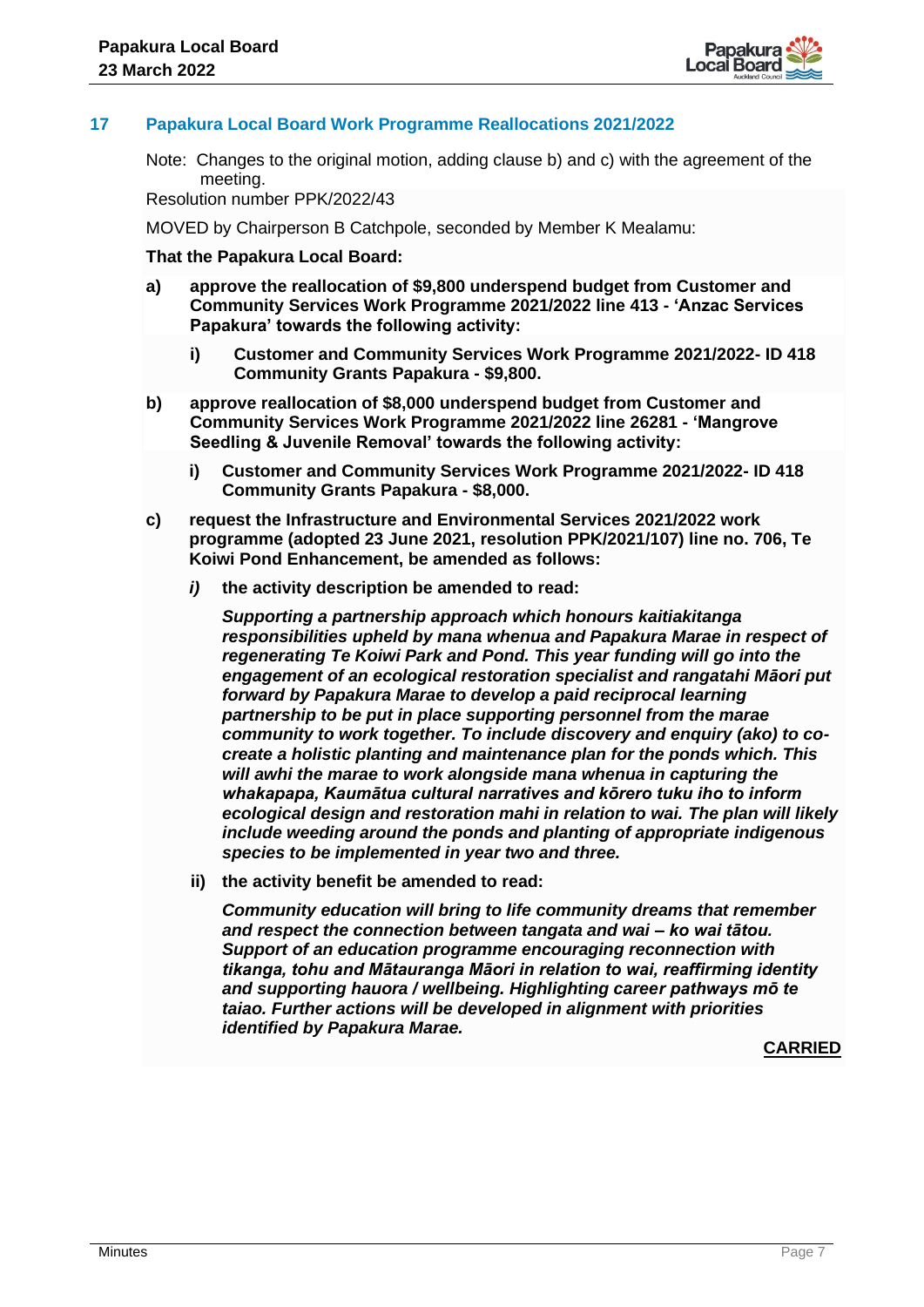

## **17 Papakura Local Board Work Programme Reallocations 2021/2022**

Note: Changes to the original motion, adding clause b) and c) with the agreement of the meeting.

Resolution number PPK/2022/43

MOVED by Chairperson B Catchpole, seconded by Member K Mealamu:

#### **That the Papakura Local Board:**

- **a) approve the reallocation of \$9,800 underspend budget from Customer and Community Services Work Programme 2021/2022 line 413 - 'Anzac Services Papakura' towards the following activity:**
	- **i) Customer and Community Services Work Programme 2021/2022- ID 418 Community Grants Papakura - \$9,800.**
- **b) approve reallocation of \$8,000 underspend budget from Customer and Community Services Work Programme 2021/2022 line 26281 - 'Mangrove Seedling & Juvenile Removal' towards the following activity:**
	- **i) Customer and Community Services Work Programme 2021/2022- ID 418 Community Grants Papakura - \$8,000.**
- **c) request the Infrastructure and Environmental Services 2021/2022 work programme (adopted 23 June 2021, resolution PPK/2021/107) line no. 706, Te Koiwi Pond Enhancement, be amended as follows:**
	- *i)* **the activity description be amended to read:**

*Supporting a partnership approach which honours kaitiakitanga responsibilities upheld by mana whenua and Papakura Marae in respect of regenerating Te Koiwi Park and Pond. This year funding will go into the engagement of an ecological restoration specialist and rangatahi Māori put forward by Papakura Marae to develop a paid reciprocal learning partnership to be put in place supporting personnel from the marae community to work together. To include discovery and enquiry (ako) to cocreate a holistic planting and maintenance plan for the ponds which. This will awhi the marae to work alongside mana whenua in capturing the whakapapa, Kaumātua cultural narratives and kōrero tuku iho to inform ecological design and restoration mahi in relation to wai. The plan will likely include weeding around the ponds and planting of appropriate indigenous species to be implemented in year two and three.* 

**ii) the activity benefit be amended to read:**

*Community education will bring to life community dreams that remember and respect the connection between tangata and wai – ko wai tātou. Support of an education programme encouraging reconnection with tikanga, tohu and Mātauranga Māori in relation to wai, reaffirming identity and supporting hauora / wellbeing. Highlighting career pathways mō te taiao. Further actions will be developed in alignment with priorities identified by Papakura Marae.*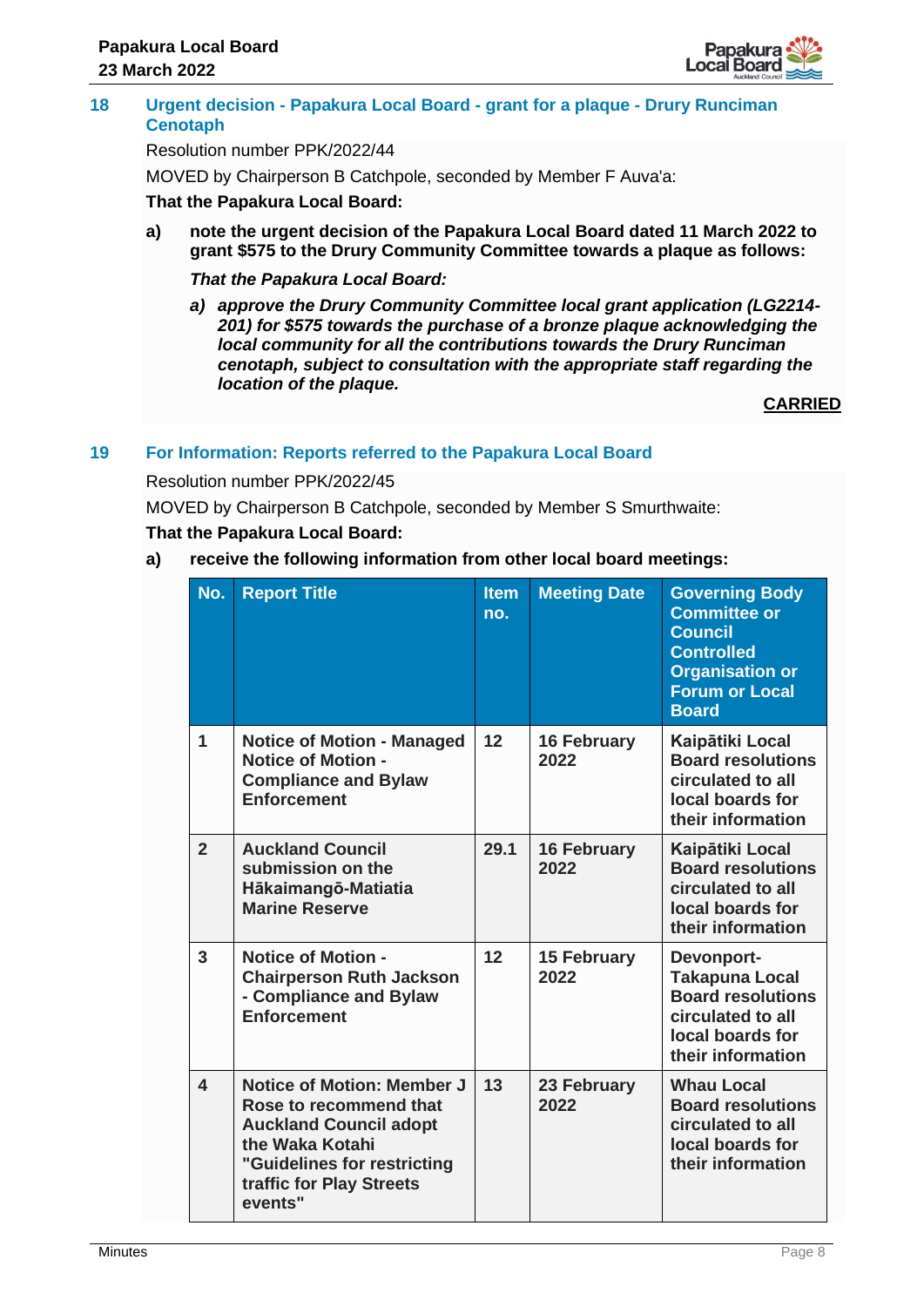

## **18 Urgent decision - Papakura Local Board - grant for a plaque - Drury Runciman Cenotaph**

## Resolution number PPK/2022/44

MOVED by Chairperson B Catchpole, seconded by Member F Auva'a:

## **That the Papakura Local Board:**

**a) note the urgent decision of the Papakura Local Board dated 11 March 2022 to grant \$575 to the Drury Community Committee towards a plaque as follows:**

## *That the Papakura Local Board:*

*a) approve the Drury Community Committee local grant application (LG2214- 201) for \$575 towards the purchase of a bronze plaque acknowledging the local community for all the contributions towards the Drury Runciman cenotaph, subject to consultation with the appropriate staff regarding the location of the plaque.*

**CARRIED**

## **19 For Information: Reports referred to the Papakura Local Board**

Resolution number PPK/2022/45

MOVED by Chairperson B Catchpole, seconded by Member S Smurthwaite:

## **That the Papakura Local Board:**

## **a) receive the following information from other local board meetings:**

|                         | No. | <b>Report Title</b>                                                                                                                                                                   | <b>Item</b><br>no. | <b>Meeting Date</b>        | <b>Governing Body</b><br><b>Committee or</b><br><b>Council</b><br><b>Controlled</b><br><b>Organisation or</b><br><b>Forum or Local</b><br><b>Board</b> |
|-------------------------|-----|---------------------------------------------------------------------------------------------------------------------------------------------------------------------------------------|--------------------|----------------------------|--------------------------------------------------------------------------------------------------------------------------------------------------------|
| $\overline{\mathbf{1}}$ |     | <b>Notice of Motion - Managed</b><br><b>Notice of Motion -</b><br><b>Compliance and Bylaw</b><br><b>Enforcement</b>                                                                   | 12                 | <b>16 February</b><br>2022 | Kaipātiki Local<br><b>Board resolutions</b><br>circulated to all<br>local boards for<br>their information                                              |
| $\overline{2}$          |     | <b>Auckland Council</b><br>submission on the<br>Hākaimangō-Matiatia<br><b>Marine Reserve</b>                                                                                          | 29.1               | <b>16 February</b><br>2022 | Kaipātiki Local<br><b>Board resolutions</b><br>circulated to all<br>local boards for<br>their information                                              |
| 3                       |     | <b>Notice of Motion -</b><br><b>Chairperson Ruth Jackson</b><br>- Compliance and Bylaw<br><b>Enforcement</b>                                                                          | 12                 | <b>15 February</b><br>2022 | <b>Devonport-</b><br><b>Takapuna Local</b><br><b>Board resolutions</b><br>circulated to all<br>local boards for<br>their information                   |
| $\overline{\mathbf{A}}$ |     | <b>Notice of Motion: Member J</b><br>Rose to recommend that<br><b>Auckland Council adopt</b><br>the Waka Kotahi<br>"Guidelines for restricting<br>traffic for Play Streets<br>events" | 13                 | 23 February<br>2022        | <b>Whau Local</b><br><b>Board resolutions</b><br>circulated to all<br>local boards for<br>their information                                            |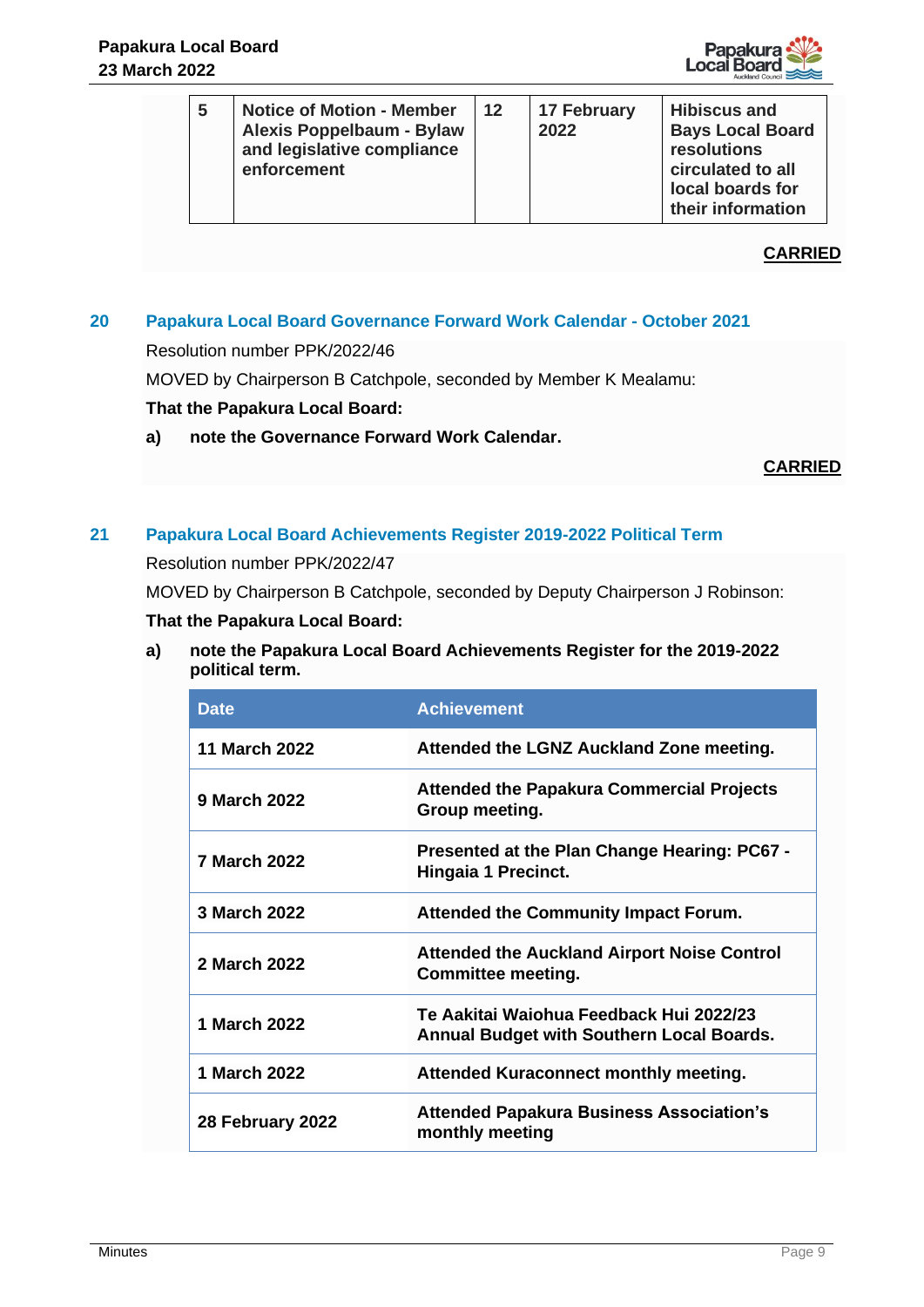

| 5 | <b>Notice of Motion - Member</b><br>Alexis Poppelbaum - Bylaw<br>and legislative compliance<br>enforcement | 12 | 17 February<br>2022 | <b>Hibiscus and</b><br><b>Bays Local Board</b><br>resolutions<br>circulated to all<br>local boards for<br>their information |
|---|------------------------------------------------------------------------------------------------------------|----|---------------------|-----------------------------------------------------------------------------------------------------------------------------|
|---|------------------------------------------------------------------------------------------------------------|----|---------------------|-----------------------------------------------------------------------------------------------------------------------------|

## **CARRIED**

# **20 Papakura Local Board Governance Forward Work Calendar - October 2021**

Resolution number PPK/2022/46

MOVED by Chairperson B Catchpole, seconded by Member K Mealamu:

## **That the Papakura Local Board:**

**a) note the Governance Forward Work Calendar.**

**CARRIED**

## **21 Papakura Local Board Achievements Register 2019-2022 Political Term**

Resolution number PPK/2022/47

MOVED by Chairperson B Catchpole, seconded by Deputy Chairperson J Robinson:

## **That the Papakura Local Board:**

**a) note the Papakura Local Board Achievements Register for the 2019-2022 political term.**

| <b>Date</b>          | <b>Achievement</b>                                                                          |
|----------------------|---------------------------------------------------------------------------------------------|
| <b>11 March 2022</b> | Attended the LGNZ Auckland Zone meeting.                                                    |
| <b>9 March 2022</b>  | <b>Attended the Papakura Commercial Projects</b><br>Group meeting.                          |
| <b>7 March 2022</b>  | Presented at the Plan Change Hearing: PC67 -<br>Hingaia 1 Precinct.                         |
| 3 March 2022         | <b>Attended the Community Impact Forum.</b>                                                 |
| 2 March 2022         | <b>Attended the Auckland Airport Noise Control</b><br><b>Committee meeting.</b>             |
| 1 March 2022         | Te Aakitai Waiohua Feedback Hui 2022/23<br><b>Annual Budget with Southern Local Boards.</b> |
| 1 March 2022         | Attended Kuraconnect monthly meeting.                                                       |
| 28 February 2022     | <b>Attended Papakura Business Association's</b><br>monthly meeting                          |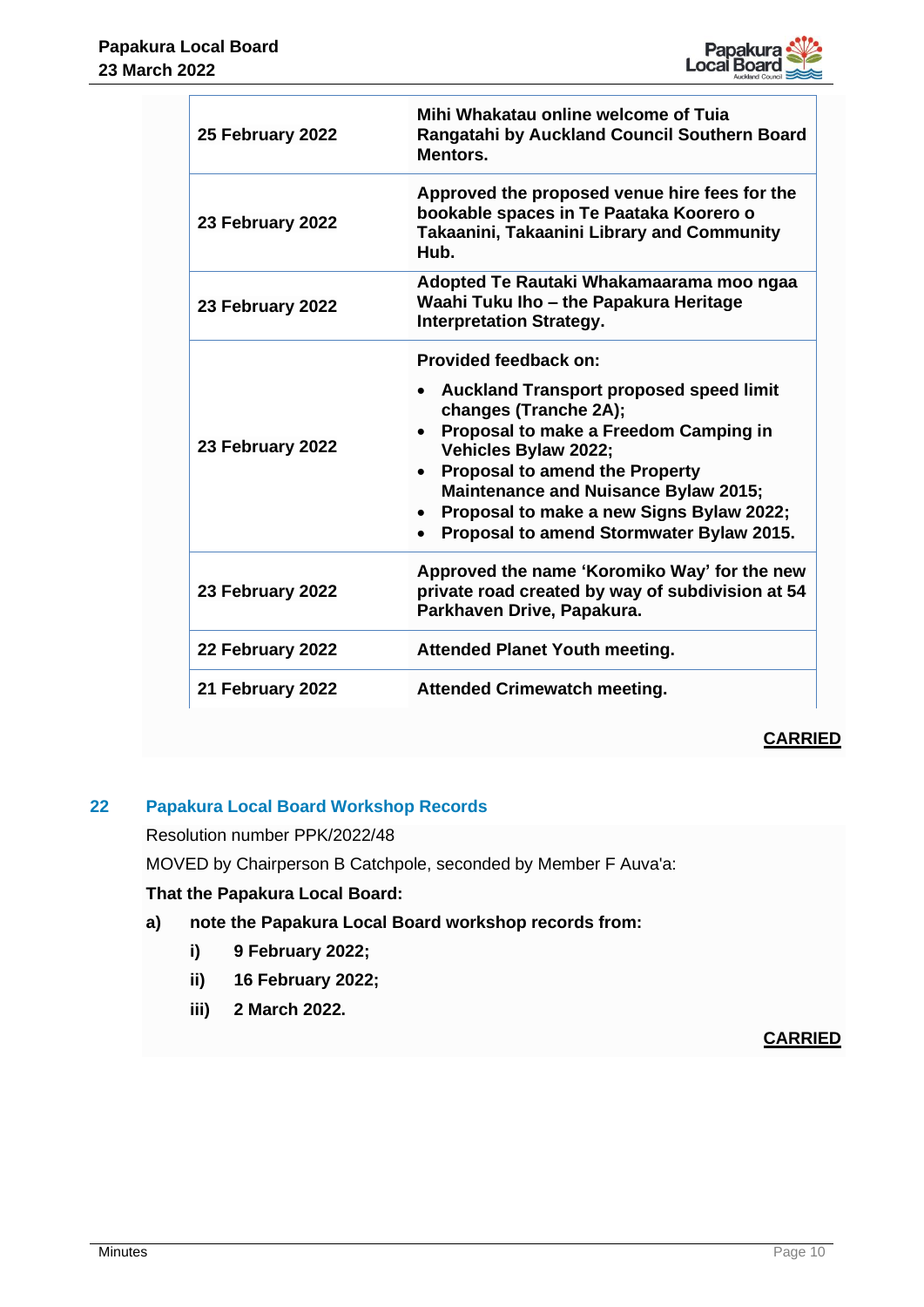

| 25 February 2022 | Mihi Whakatau online welcome of Tuia<br>Rangatahi by Auckland Council Southern Board<br>Mentors.                                                                                                                                                                                                                                                                 |
|------------------|------------------------------------------------------------------------------------------------------------------------------------------------------------------------------------------------------------------------------------------------------------------------------------------------------------------------------------------------------------------|
| 23 February 2022 | Approved the proposed venue hire fees for the<br>bookable spaces in Te Paataka Koorero o<br>Takaanini, Takaanini Library and Community<br>Hub.                                                                                                                                                                                                                   |
| 23 February 2022 | Adopted Te Rautaki Whakamaarama moo ngaa<br>Waahi Tuku Iho - the Papakura Heritage<br><b>Interpretation Strategy.</b>                                                                                                                                                                                                                                            |
| 23 February 2022 | <b>Provided feedback on:</b><br>• Auckland Transport proposed speed limit<br>changes (Tranche 2A);<br>Proposal to make a Freedom Camping in<br>Vehicles Bylaw 2022;<br><b>Proposal to amend the Property</b><br>$\bullet$<br><b>Maintenance and Nuisance Bylaw 2015;</b><br>Proposal to make a new Signs Bylaw 2022;<br>Proposal to amend Stormwater Bylaw 2015. |
| 23 February 2022 | Approved the name 'Koromiko Way' for the new<br>private road created by way of subdivision at 54<br>Parkhaven Drive, Papakura.                                                                                                                                                                                                                                   |
| 22 February 2022 | <b>Attended Planet Youth meeting.</b>                                                                                                                                                                                                                                                                                                                            |
| 21 February 2022 | <b>Attended Crimewatch meeting.</b>                                                                                                                                                                                                                                                                                                                              |

# **CARRIED**

## **22 Papakura Local Board Workshop Records**

Resolution number PPK/2022/48

MOVED by Chairperson B Catchpole, seconded by Member F Auva'a:

## **That the Papakura Local Board:**

- **a) note the Papakura Local Board workshop records from:**
	- **i) 9 February 2022;**
	- **ii) 16 February 2022;**
	- **iii) 2 March 2022.**